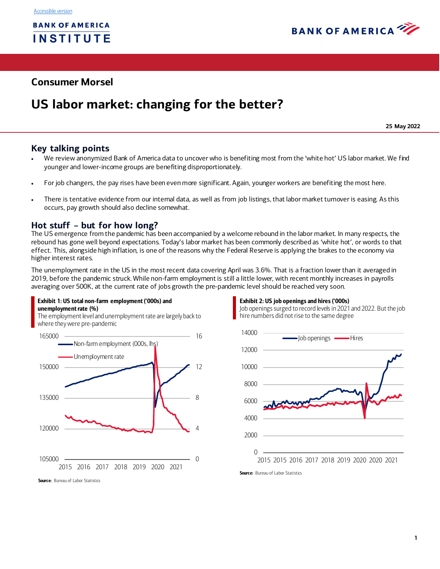

# **Consumer Morsel**

# **US labor market: changing for the better?**

**25 May 2022**

# **Key talking points**

- We review anonymized Bank of America data to uncover who is benefiting most from the 'white hot' US labor market. We find younger and lower-income groups are benefiting disproportionately.
- For job changers, the pay rises have been even more significant. Again, younger workers are benefiting the most here.
- There is tentative evidence from our internal data, as well as from job listings, that labor market turnover is easing. As this occurs, pay growth should also decline somewhat.

## **Hot stuff – but for how long?**

Exhibit 1: US total non-farm employment ('000s) and

The US emergence from the pandemic has been accompanied by a welcome rebound in the labor market. In many respects, the rebound has gone well beyond expectations. Today's labor market has been commonly described as 'white hot', or words to that effect. This, alongside high inflation, is one of the reasons why the Federal Reserve is applying the brakes to the economy via higher interest rates.

The unemployment rate in the US in the most recent data covering April was 3.6%. That is a fraction lower than it averaged in 2019, before the pandemic struck. While non-farm employment is still a little lower, with recent monthly increases in payrolls averaging over 500K, at the current rate of jobs growth the pre-pandemic level should be reached very soon.





Exhibit 2: US job openings and hires ('000s)

Source: Bureau of Labor Statistics

Source: Bureau of Labor Statistics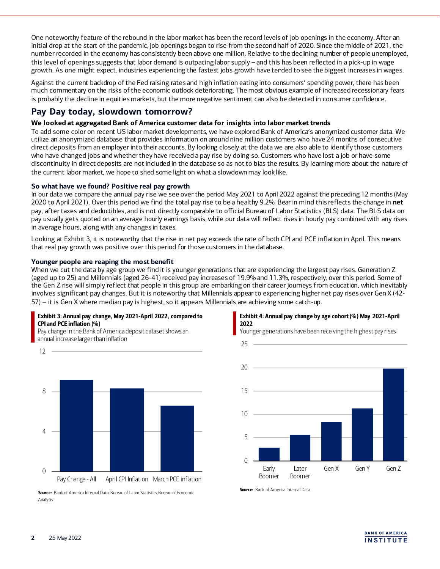One noteworthy feature of the rebound in the labor market has been the record levels of job openings in the economy. After an initial drop at the start of the pandemic, job openings began to rise from the second half of 2020. Since the middle of 2021, the number recorded in the economy has consistently been above one million. Relative to the declining number of people unemployed, this level of openings suggests that labor demand is outpacing labor supply – and this has been reflected in a pick-up in wage growth. As one might expect, industries experiencing the fastest jobs growth have tended to see the biggest increases in wages.

Against the current backdrop of the Fed raising rates and high inflation eating into consumers' spending power, there has been much commentary on the risks of the economic outlook deteriorating. The most obvious example of increased recessionary fears is probably the decline in equities markets, but the more negative sentiment can also be detected in consumer confidence.

# **Pay Day today, slowdown tomorrow?**

## **We looked at aggregated Bank of America customer data for insights into labor market trends**

To add some color on recent US labor market developments, we have explored Bank of America's anonymized customer data. We utilize an anonymized database that provides information on around nine million customers who have 24 months of consecutive direct deposits from an employer into their accounts. By looking closely at the data we are also able to identify those customers who have changed jobs and whether they have received a pay rise by doing so. Customers who have lost a job or have some discontinuity in direct deposits are not included in the database so as not to bias the results. By learning more about the nature of the current labor market, we hope to shed some light on what a slowdown may look like.

## **So what have we found? Positive real pay growth**

In our data we compare the annual pay rise we see over the period May 2021 to April 2022 against the preceding 12 months (May 2020 to April 2021). Over this period we find the total pay rise to be a healthy 9.2%. Bear in mind this reflects the change in **net**  pay, after taxes and deductibles, and is not directly comparable to official Bureau of Labor Statistics (BLS) data. The BLS data on pay usually gets quoted on an average hourly earnings basis, while our data will reflect rises in hourly pay combined with any rises in average hours, along with any changes in taxes.

Looking at Exhibit 3, it is noteworthy that the rise in net pay exceeds the rate of both CPI and PCE inflation in April. This means that real pay growth was positive over this period for those customers in the database.

#### **Younger people are reaping the most benefit**

When we cut the data by age group we find it is younger generations that are experiencing the largest pay rises. Generation Z (aged up to 25) and Millennials (aged 26-41) received pay increases of 19.9% and 11.3%, respectively, over this period. Some of the Gen Z rise will simply reflect that people in this group are embarking on their career journeys from education, which inevitably involves significant pay changes. But it is noteworthy that Millennials appear to experiencing higher net pay rises over Gen X (42- 57) – it is Gen X where median pay is highest, so it appears Millennials are achieving some catch-up.

## Exhibit 3: Annual pay change, May 2021-April 2022, compared to CPI and PCE inflation (%)

Pay change in the Bank of America deposit dataset shows an annual increase larger than inflation



Source: Bank of America Internal Data, Bureau of Labor Statistics, Bureau of Economic Analysis

#### Exhibit 4: Annual pay change by age cohort (%) May 2021-April 2022

Younger generations have been receiving the highest pay rises





**Source:** Bank of America Internal Data

12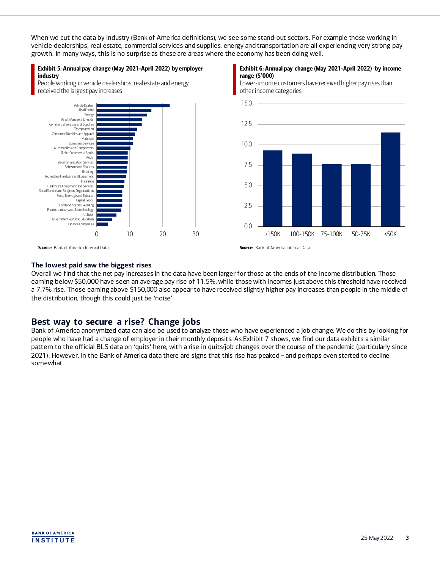When we cut the data by industry (Bank of America definitions), we see some stand-out sectors. For example those working in vehicle dealerships, real estate, commercial services and supplies, energy and transportation are all experiencing very strong pay growth. In many ways, this is no surprise as these are areas where the economy has been doing well.

#### Exhibit 5: Annual pay change (May 2021-April 2022) by employer industry

People working in vehicle dealerships, real estate and energy received the largest pay increases



#### Exhibit 6: Annual pay change (May 2021-April 2022) by income range (\$'000)

Lower-income customers have received higher pay rises than other income categories



Source: Bank of America Internal Data

Source: Bank of America Internal Data

#### **The lowest paid saw the biggest rises**

Overall we find that the net pay increases in the data have been larger for those at the ends of the income distribution. Those earning below \$50,000 have seen an average pay rise of 11.5%, while those with incomes just above this threshold have received a 7.7% rise. Those earning above \$150,000 also appear to have received slightly higher pay increases than people in the middle of the distribution, though this could just be 'noise'.

# **Best way to secure a rise? Change jobs**

Bank of America anonymized data can also be used to analyze those who have experienced a job change. We do this by looking for people who have had a change of employer in their monthly deposits. As Exhibit 7 shows, we find our data exhibits a similar pattern to the official BLS data on 'quits' here, with a rise in quits/job changes over the course of the pandemic (particularly since 2021). However, in the Bank of America data there are signs that this rise has peaked – and perhaps even started to decline somewhat.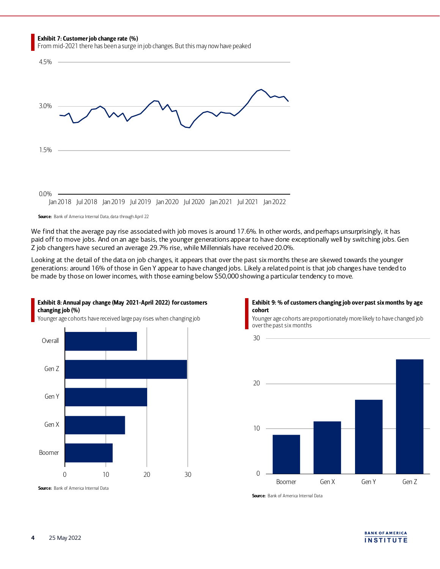Exhibit 7: Customer job change rate (%)

From mid-2021 there has been a surge in job changes. But this may now have peaked



We find that the average pay rise associated with job moves is around 17.6%. In other words, and perhaps unsurprisingly, it has paid off to move jobs. And on an age basis, the younger generations appear to have done exceptionally well by switching jobs. Gen Z job changers have secured an average 29.7% rise, while Millennials have received 20.0%.

Looking at the detail of the data on job changes, it appears that over the past six months these are skewed towards the younger generations: around 16% of those in Gen Y appear to have changed jobs. Likely a related point is that job changes have tended to be made by those on lower incomes, with those earning below \$50,000 showing a particular tendency to move.

30



Exhibit 8: Annual pay change (May 2021-April 2022) for customers changing job (%)



Younger age cohorts are proportionately more likely to have changed job over the past six months



**Source:** Bank of America Internal Data

Source: Bank of America Internal Data

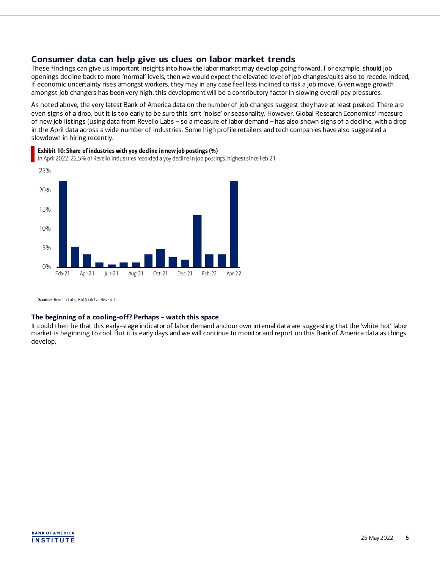## **Consumer data can help give us clues on labor market trends**

These findings can give us important insights into how the labor market may develop going forward. For example, should job openings decline back to more 'normal' levels, then we would expect the elevated level of job changes/quits also to recede. Indeed, if economic uncertainty rises amongst workers,they may in any case feel less inclined to risk a job move. Given wage growth amongst job changers has been very high, this development will be a contributory factor in slowing overall pay pressures.

As noted above, the very latest Bank of America data on the number of job changes suggest they have at least peaked. There are even signs of a drop, but it is too early to be sure this isn't 'noise' or seasonality. However, Global Research Economics' measure of new job listings (using data from Revelio Labs – so a measure of labor demand – has also shown signs of a decline, with a drop in the April data across a wide number of industries. Some high profile retailers and tech companies have also suggested a slowdown in hiring recently.



## Exhibit 10: Share of industries with yoy decline in new job postings (%)

In April 2022, 22.5% of Revelio industries recorded a yoy decline in job postings, highest since Feb 21

**Source:** Revelio Labs, BofA Global Research

#### **The beginning of a cooling-off? Perhaps – watch this space**

It could then be that this early-stage indicator of labor demand and our own internal data are suggesting that the 'white hot' labor market is beginning to cool. But it is early days and we will continue to monitor and report on this Bank of America data as things develop.

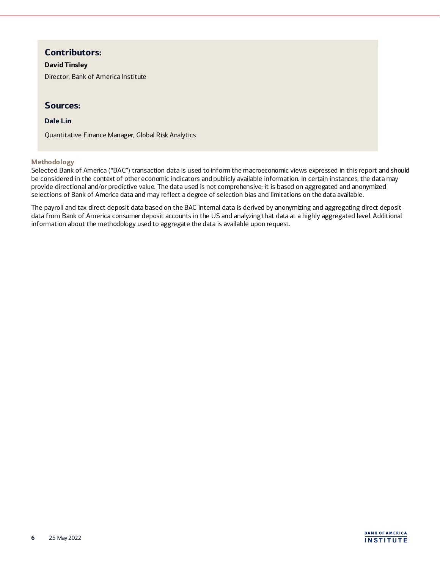# **Contributors:**

## **David Tinsley**

Director, Bank of America Institute

## **Sources:**

## **Dale Lin**

Quantitative Finance Manager, Global Risk Analytics

## **Methodology**

Selected Bank of America ("BAC") transaction data is used to inform the macroeconomic views expressed in this report and should be considered in the context of other economic indicators and publicly available information. In certain instances, the data may provide directional and/or predictive value. The data used is not comprehensive; it is based on aggregated and anonymized selections of Bank of America data and may reflect a degree of selection bias and limitations on the data available.

The payroll and tax direct deposit data based on the BAC internal data is derived by anonymizing and aggregating direct deposit data from Bank of America consumer deposit accounts in the US and analyzing that data at a highly aggregated level. Additional information about the methodology used to aggregate the data is available upon request.